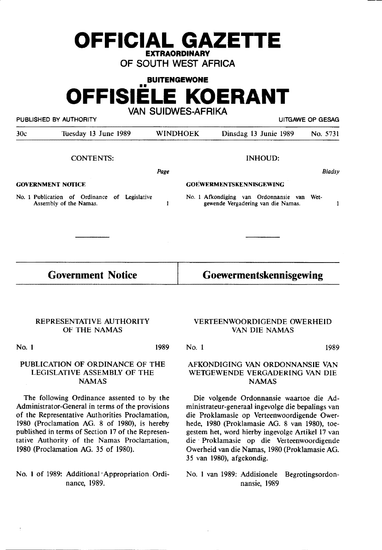# **OFFICIAL GAZETTE EXTRAORDINARY**

OF SOUTH WEST AFRICA

**BUITENGEWONE OFFISIELE KOERANT**  VAN SUIDWES-AFRIKA

PUBLISHED BY AUTHORITY UITGAWE OP GESAG

| 30c                      | Tuesday 13 June 1989                                                       |      | <b>WINDHOEK</b>                | Dinsdag 13 Junie 1989                                                            |                | No. 5731      |  |
|--------------------------|----------------------------------------------------------------------------|------|--------------------------------|----------------------------------------------------------------------------------|----------------|---------------|--|
|                          | <b>CONTENTS:</b>                                                           |      |                                |                                                                                  | <b>INHOUD:</b> |               |  |
|                          |                                                                            | Page |                                |                                                                                  |                | <b>Bladsy</b> |  |
| <b>GOVERNMENT NOTICE</b> |                                                                            |      | <b>GOEWERMENTSKENNISGEWING</b> |                                                                                  |                |               |  |
|                          | No. 1 Publication of Ordinance<br>of Legislative<br>Assembly of the Namas. |      |                                | No. I Afkondiging van Ordonnansie van Wet-<br>gewende Vergadering van die Namas. |                |               |  |
|                          |                                                                            |      |                                |                                                                                  |                |               |  |
| <b>Government Notice</b> |                                                                            |      |                                | Goewermentskennisgewing                                                          |                |               |  |

#### REPRESENTATIVE AUTHORITY OF THE NAMAS

No. 1

1989

### PUBLICATION OF ORDINANCE OF THE LEGISLATIVE ASSEMBLY OF THE **NAMAS**

The following Ordinance assented to by the Administrator-General in terms of the provisions of the Representative Authorities Proclamation, 1980 (Proclamation **AG. 8** of 1980), is hereby published in terms of Section 17 of the Representative Authority of the Namas Proclamation, 1980 (Proclamation AG. 35 of 1980).

No. 1 of 1989: Additional <sup>*Appropriation* Ordi-</sup> nance, 1989.

#### VERTEENWOORDIGENDE OWERHEID VAN DIE NAMAS

No. 1 1989

## AFKONDIGING VAN ORDONNANSIE VAN WETGEWENDE VERGADERING VAN DIE NAMAS

Die volgende Ordonnansie waartoe die Administrateur-generaal ingevolge die bepalings van die Proklamasie op Verteenwoordigende Owerhede, 1980 (Proklamasie AG. 8 van 1980), toegestem het, word hierby ingevolge Artikel 17 van die· Proklamasie op die Verteenwoordigende Owerheid van die Namas, 1980 (Proklamasie AG. 35 van 1980), afgekondig.

No. 1 van 1989: Addisionele Begrotingsordonnansie, 1989